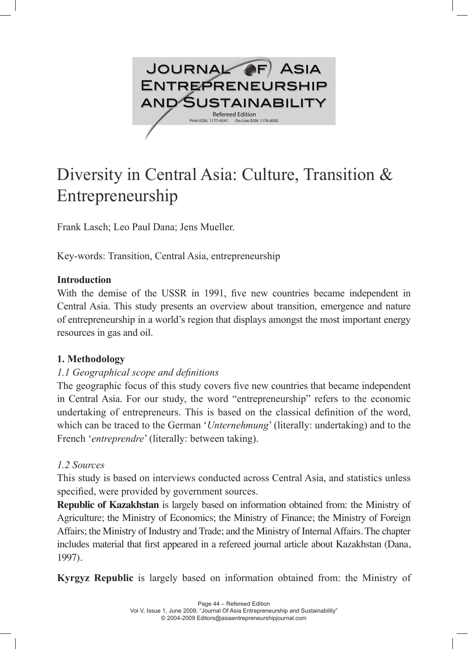

# Diversity in Central Asia: Culture, Transition & Entrepreneurship

Frank Lasch; Leo Paul Dana; Jens Mueller.

Key-words: Transition, Central Asia, entrepreneurship

#### **Introduction**

With the demise of the USSR in 1991, five new countries became independent in Central Asia. This study presents an overview about transition, emergence and nature of entrepreneurship in a world's region that displays amongst the most important energy resources in gas and oil.

## **1. Methodology**

## *1.1 Geographical scope and definitions*

The geographic focus of this study covers five new countries that became independent in Central Asia. For our study, the word "entrepreneurship" refers to the economic undertaking of entrepreneurs. This is based on the classical definition of the word, which can be traced to the German '*Unternehmung*' (literally: undertaking) and to the French '*entreprendre*' (literally: between taking).

## *1.2 Sources*

This study is based on interviews conducted across Central Asia, and statistics unless specified, were provided by government sources.

**Republic of Kazakhstan** is largely based on information obtained from: the Ministry of Agriculture; the Ministry of Economics; the Ministry of Finance; the Ministry of Foreign Affairs; the Ministry of Industry and Trade; and the Ministry of Internal Affairs. The chapter includes material that first appeared in a refereed journal article about Kazakhstan (Dana, 1997).

**Kyrgyz Republic** is largely based on information obtained from: the Ministry of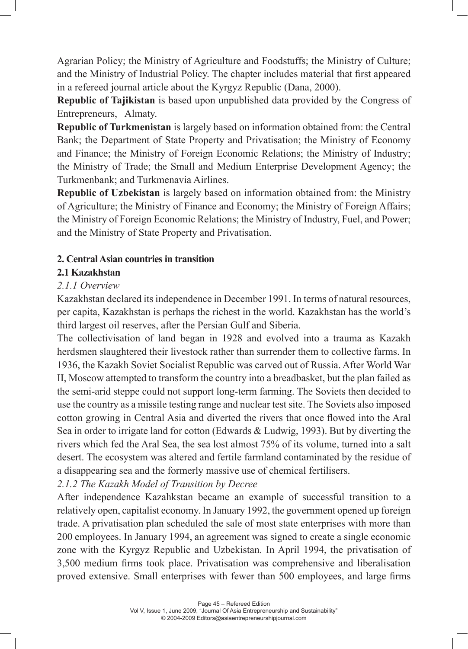Agrarian Policy; the Ministry of Agriculture and Foodstuffs; the Ministry of Culture; and the Ministry of Industrial Policy. The chapter includes material that first appeared in a refereed journal article about the Kyrgyz Republic (Dana, 2000).

**Republic of Tajikistan** is based upon unpublished data provided by the Congress of Entrepreneurs, Almaty.

**Republic of Turkmenistan** is largely based on information obtained from: the Central Bank; the Department of State Property and Privatisation; the Ministry of Economy and Finance; the Ministry of Foreign Economic Relations; the Ministry of Industry; the Ministry of Trade; the Small and Medium Enterprise Development Agency; the Turkmenbank; and Turkmenavia Airlines.

**Republic of Uzbekistan** is largely based on information obtained from: the Ministry of Agriculture; the Ministry of Finance and Economy; the Ministry of Foreign Affairs; the Ministry of Foreign Economic Relations; the Ministry of Industry, Fuel, and Power; and the Ministry of State Property and Privatisation.

## **2. Central Asian countries in transition**

## **2.1 Kazakhstan**

## *2.1.1 Overview*

Kazakhstan declared its independence in December 1991. In terms of natural resources, per capita, Kazakhstan is perhaps the richest in the world. Kazakhstan has the world's third largest oil reserves, after the Persian Gulf and Siberia.

The collectivisation of land began in 1928 and evolved into a trauma as Kazakh herdsmen slaughtered their livestock rather than surrender them to collective farms. In 1936, the Kazakh Soviet Socialist Republic was carved out of Russia. After World War II, Moscow attempted to transform the country into a breadbasket, but the plan failed as the semi-arid steppe could not support long-term farming. The Soviets then decided to use the country as a missile testing range and nuclear test site. The Soviets also imposed cotton growing in Central Asia and diverted the rivers that once flowed into the Aral Sea in order to irrigate land for cotton (Edwards & Ludwig, 1993). But by diverting the rivers which fed the Aral Sea, the sea lost almost 75% of its volume, turned into a salt desert. The ecosystem was altered and fertile farmland contaminated by the residue of a disappearing sea and the formerly massive use of chemical fertilisers.

*2.1.2 The Kazakh Model of Transition by Decree*

After independence Kazahkstan became an example of successful transition to a relatively open, capitalist economy. In January 1992, the government opened up foreign trade. A privatisation plan scheduled the sale of most state enterprises with more than 200 employees. In January 1994, an agreement was signed to create a single economic zone with the Kyrgyz Republic and Uzbekistan. In April 1994, the privatisation of 3,500 medium firms took place. Privatisation was comprehensive and liberalisation proved extensive. Small enterprises with fewer than 500 employees, and large firms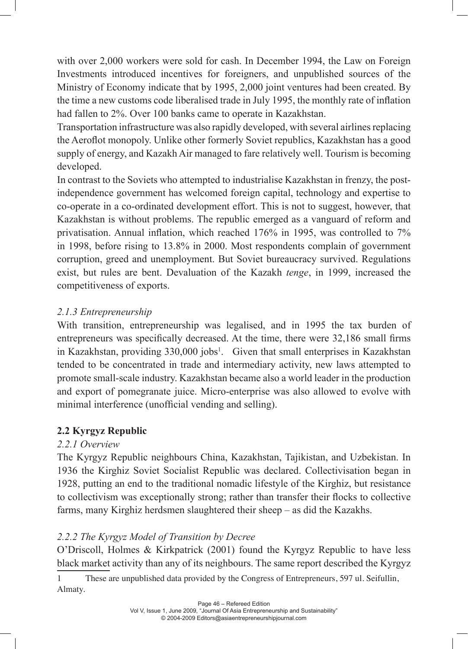with over 2,000 workers were sold for cash. In December 1994, the Law on Foreign Investments introduced incentives for foreigners, and unpublished sources of the Ministry of Economy indicate that by 1995, 2,000 joint ventures had been created. By the time a new customs code liberalised trade in July 1995, the monthly rate of inflation had fallen to 2%. Over 100 banks came to operate in Kazakhstan.

Transportation infrastructure was also rapidly developed, with several airlines replacing the Aeroflot monopoly. Unlike other formerly Soviet republics, Kazakhstan has a good supply of energy, and Kazakh Air managed to fare relatively well. Tourism is becoming developed.

In contrast to the Soviets who attempted to industrialise Kazakhstan in frenzy, the postindependence government has welcomed foreign capital, technology and expertise to co-operate in a co-ordinated development effort. This is not to suggest, however, that Kazakhstan is without problems. The republic emerged as a vanguard of reform and privatisation. Annual inflation, which reached 176% in 1995, was controlled to 7% in 1998, before rising to 13.8% in 2000. Most respondents complain of government corruption, greed and unemployment. But Soviet bureaucracy survived. Regulations exist, but rules are bent. Devaluation of the Kazakh *tenge*, in 1999, increased the competitiveness of exports.

## *2.1.3 Entrepreneurship*

With transition, entrepreneurship was legalised, and in 1995 the tax burden of entrepreneurs was specifically decreased. At the time, there were 32,186 small firms in Kazakhstan, providing 330,000 jobs<sup>1</sup>. Given that small enterprises in Kazakhstan tended to be concentrated in trade and intermediary activity, new laws attempted to promote small-scale industry. Kazakhstan became also a world leader in the production and export of pomegranate juice. Micro-enterprise was also allowed to evolve with minimal interference (unofficial vending and selling).

# **2.2 Kyrgyz Republic**

## *2.2.1 Overview*

The Kyrgyz Republic neighbours China, Kazakhstan, Tajikistan, and Uzbekistan. In 1936 the Kirghiz Soviet Socialist Republic was declared. Collectivisation began in 1928, putting an end to the traditional nomadic lifestyle of the Kirghiz, but resistance to collectivism was exceptionally strong; rather than transfer their flocks to collective farms, many Kirghiz herdsmen slaughtered their sheep – as did the Kazakhs.

# *2.2.2 The Kyrgyz Model of Transition by Decree*

O'Driscoll, Holmes & Kirkpatrick (2001) found the Kyrgyz Republic to have less black market activity than any of its neighbours. The same report described the Kyrgyz

1 These are unpublished data provided by the Congress of Entrepreneurs, 597 ul. Seifullin, Almaty.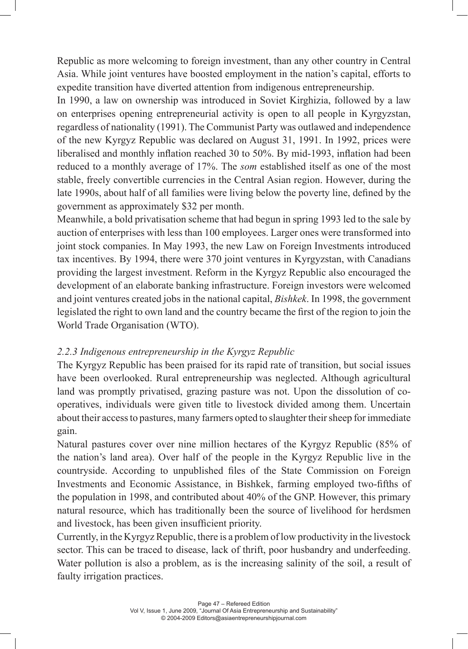Republic as more welcoming to foreign investment, than any other country in Central Asia. While joint ventures have boosted employment in the nation's capital, efforts to expedite transition have diverted attention from indigenous entrepreneurship.

In 1990, a law on ownership was introduced in Soviet Kirghizia, followed by a law on enterprises opening entrepreneurial activity is open to all people in Kyrgyzstan, regardless of nationality (1991). The Communist Party was outlawed and independence of the new Kyrgyz Republic was declared on August 31, 1991. In 1992, prices were liberalised and monthly inflation reached 30 to 50%. By mid-1993, inflation had been reduced to a monthly average of 17%. The *som* established itself as one of the most stable, freely convertible currencies in the Central Asian region. However, during the late 1990s, about half of all families were living below the poverty line, defined by the government as approximately \$32 per month.

Meanwhile, a bold privatisation scheme that had begun in spring 1993 led to the sale by auction of enterprises with less than 100 employees. Larger ones were transformed into joint stock companies. In May 1993, the new Law on Foreign Investments introduced tax incentives. By 1994, there were 370 joint ventures in Kyrgyzstan, with Canadians providing the largest investment. Reform in the Kyrgyz Republic also encouraged the development of an elaborate banking infrastructure. Foreign investors were welcomed and joint ventures created jobs in the national capital, *Bishkek*. In 1998, the government legislated the right to own land and the country became the first of the region to join the World Trade Organisation (WTO).

## *2.2.3 Indigenous entrepreneurship in the Kyrgyz Republic*

The Kyrgyz Republic has been praised for its rapid rate of transition, but social issues have been overlooked. Rural entrepreneurship was neglected. Although agricultural land was promptly privatised, grazing pasture was not. Upon the dissolution of cooperatives, individuals were given title to livestock divided among them. Uncertain about their access to pastures, many farmers opted to slaughter their sheep for immediate gain.

Natural pastures cover over nine million hectares of the Kyrgyz Republic (85% of the nation's land area). Over half of the people in the Kyrgyz Republic live in the countryside. According to unpublished files of the State Commission on Foreign Investments and Economic Assistance, in Bishkek, farming employed two-fifths of the population in 1998, and contributed about 40% of the GNP. However, this primary natural resource, which has traditionally been the source of livelihood for herdsmen and livestock, has been given insufficient priority.

Currently, in the Kyrgyz Republic, there is a problem of low productivity in the livestock sector. This can be traced to disease, lack of thrift, poor husbandry and underfeeding. Water pollution is also a problem, as is the increasing salinity of the soil, a result of faulty irrigation practices.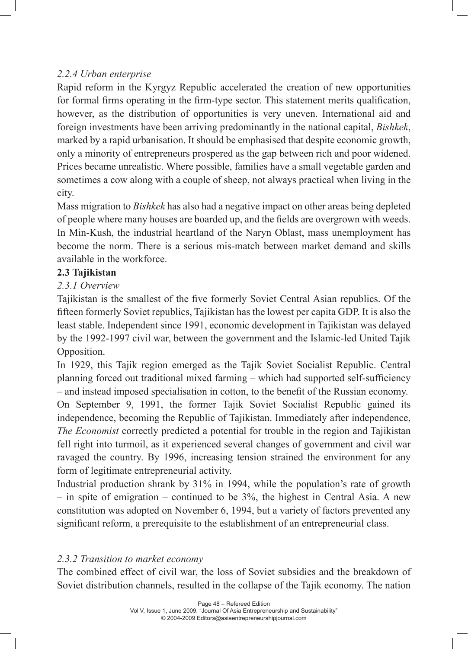## *2.2.4 Urban enterprise*

Rapid reform in the Kyrgyz Republic accelerated the creation of new opportunities for formal firms operating in the firm-type sector. This statement merits qualification, however, as the distribution of opportunities is very uneven. International aid and foreign investments have been arriving predominantly in the national capital, *Bishkek*, marked by a rapid urbanisation. It should be emphasised that despite economic growth, only a minority of entrepreneurs prospered as the gap between rich and poor widened. Prices became unrealistic. Where possible, families have a small vegetable garden and sometimes a cow along with a couple of sheep, not always practical when living in the city.

Mass migration to *Bishkek* has also had a negative impact on other areas being depleted of people where many houses are boarded up, and the fields are overgrown with weeds. In Min-Kush, the industrial heartland of the Naryn Oblast, mass unemployment has become the norm. There is a serious mis-match between market demand and skills available in the workforce.

## **2.3 Tajikistan**

## *2.3.1 Overview*

Tajikistan is the smallest of the five formerly Soviet Central Asian republics. Of the fifteen formerly Soviet republics, Tajikistan has the lowest per capita GDP. It is also the least stable. Independent since 1991, economic development in Tajikistan was delayed by the 1992-1997 civil war, between the government and the Islamic-led United Tajik Opposition.

In 1929, this Tajik region emerged as the Tajik Soviet Socialist Republic. Central planning forced out traditional mixed farming – which had supported self-sufficiency – and instead imposed specialisation in cotton, to the benefit of the Russian economy.

On September 9, 1991, the former Tajik Soviet Socialist Republic gained its independence, becoming the Republic of Tajikistan. Immediately after independence, *The Economist* correctly predicted a potential for trouble in the region and Tajikistan fell right into turmoil, as it experienced several changes of government and civil war ravaged the country. By 1996, increasing tension strained the environment for any form of legitimate entrepreneurial activity.

Industrial production shrank by 31% in 1994, while the population's rate of growth  $-$  in spite of emigration  $-$  continued to be 3%, the highest in Central Asia. A new constitution was adopted on November 6, 1994, but a variety of factors prevented any significant reform, a prerequisite to the establishment of an entrepreneurial class.

## *2.3.2 Transition to market economy*

The combined effect of civil war, the loss of Soviet subsidies and the breakdown of Soviet distribution channels, resulted in the collapse of the Tajik economy. The nation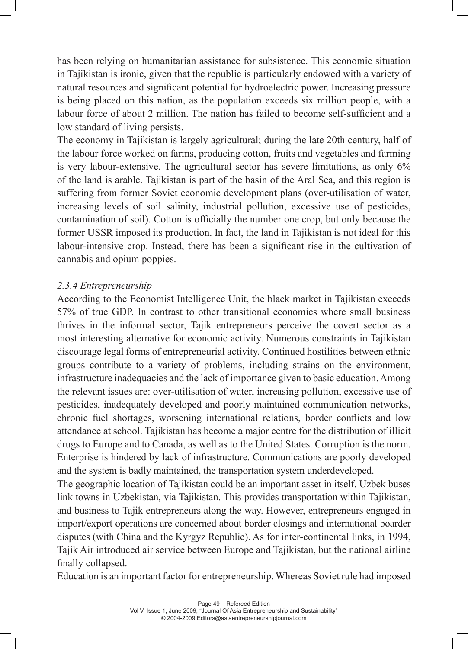has been relying on humanitarian assistance for subsistence. This economic situation in Tajikistan is ironic, given that the republic is particularly endowed with a variety of natural resources and significant potential for hydroelectric power. Increasing pressure is being placed on this nation, as the population exceeds six million people, with a labour force of about 2 million. The nation has failed to become self-sufficient and a low standard of living persists.

The economy in Tajikistan is largely agricultural; during the late 20th century, half of the labour force worked on farms, producing cotton, fruits and vegetables and farming is very labour-extensive. The agricultural sector has severe limitations, as only 6% of the land is arable. Tajikistan is part of the basin of the Aral Sea, and this region is suffering from former Soviet economic development plans (over-utilisation of water, increasing levels of soil salinity, industrial pollution, excessive use of pesticides, contamination of soil). Cotton is officially the number one crop, but only because the former USSR imposed its production. In fact, the land in Tajikistan is not ideal for this labour-intensive crop. Instead, there has been a significant rise in the cultivation of cannabis and opium poppies.

## *2.3.4 Entrepreneurship*

According to the Economist Intelligence Unit, the black market in Tajikistan exceeds 57% of true GDP. In contrast to other transitional economies where small business thrives in the informal sector, Tajik entrepreneurs perceive the covert sector as a most interesting alternative for economic activity. Numerous constraints in Tajikistan discourage legal forms of entrepreneurial activity. Continued hostilities between ethnic groups contribute to a variety of problems, including strains on the environment, infrastructure inadequacies and the lack of importance given to basic education. Among the relevant issues are: over-utilisation of water, increasing pollution, excessive use of pesticides, inadequately developed and poorly maintained communication networks, chronic fuel shortages, worsening international relations, border conflicts and low attendance at school. Tajikistan has become a major centre for the distribution of illicit drugs to Europe and to Canada, as well as to the United States. Corruption is the norm. Enterprise is hindered by lack of infrastructure. Communications are poorly developed and the system is badly maintained, the transportation system underdeveloped.

The geographic location of Tajikistan could be an important asset in itself. Uzbek buses link towns in Uzbekistan, via Tajikistan. This provides transportation within Tajikistan, and business to Tajik entrepreneurs along the way. However, entrepreneurs engaged in import/export operations are concerned about border closings and international boarder disputes (with China and the Kyrgyz Republic). As for inter-continental links, in 1994, Tajik Air introduced air service between Europe and Tajikistan, but the national airline finally collapsed.

Education is an important factor for entrepreneurship. Whereas Soviet rule had imposed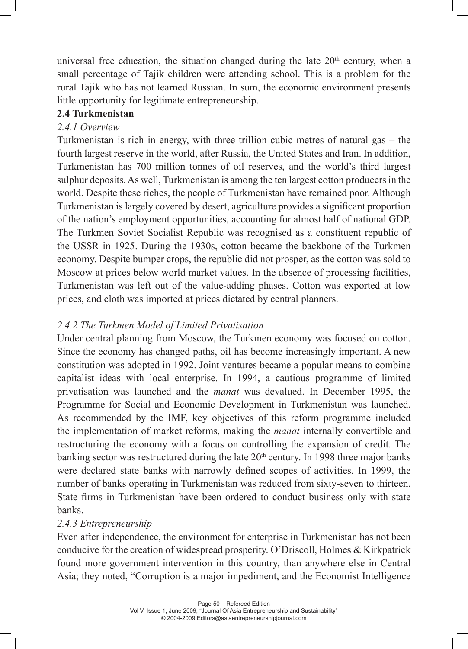universal free education, the situation changed during the late  $20<sup>th</sup>$  century, when a small percentage of Tajik children were attending school. This is a problem for the rural Tajik who has not learned Russian. In sum, the economic environment presents little opportunity for legitimate entrepreneurship.

## **2.4 Turkmenistan**

## *2.4.1 Overview*

Turkmenistan is rich in energy, with three trillion cubic metres of natural gas – the fourth largest reserve in the world, after Russia, the United States and Iran. In addition, Turkmenistan has 700 million tonnes of oil reserves, and the world's third largest sulphur deposits. As well, Turkmenistan is among the ten largest cotton producers in the world. Despite these riches, the people of Turkmenistan have remained poor. Although Turkmenistan is largely covered by desert, agriculture provides a significant proportion of the nation's employment opportunities, accounting for almost half of national GDP. The Turkmen Soviet Socialist Republic was recognised as a constituent republic of the USSR in 1925. During the 1930s, cotton became the backbone of the Turkmen economy. Despite bumper crops, the republic did not prosper, as the cotton was sold to Moscow at prices below world market values. In the absence of processing facilities, Turkmenistan was left out of the value-adding phases. Cotton was exported at low prices, and cloth was imported at prices dictated by central planners.

## *2.4.2 The Turkmen Model of Limited Privatisation*

Under central planning from Moscow, the Turkmen economy was focused on cotton. Since the economy has changed paths, oil has become increasingly important. A new constitution was adopted in 1992. Joint ventures became a popular means to combine capitalist ideas with local enterprise. In 1994, a cautious programme of limited privatisation was launched and the *manat* was devalued. In December 1995, the Programme for Social and Economic Development in Turkmenistan was launched. As recommended by the IMF, key objectives of this reform programme included the implementation of market reforms, making the *manat* internally convertible and restructuring the economy with a focus on controlling the expansion of credit. The banking sector was restructured during the late  $20<sup>th</sup>$  century. In 1998 three major banks were declared state banks with narrowly defined scopes of activities. In 1999, the number of banks operating in Turkmenistan was reduced from sixty-seven to thirteen. State firms in Turkmenistan have been ordered to conduct business only with state banks.

## *2.4.3 Entrepreneurship*

Even after independence, the environment for enterprise in Turkmenistan has not been conducive for the creation of widespread prosperity. O'Driscoll, Holmes & Kirkpatrick found more government intervention in this country, than anywhere else in Central Asia; they noted, "Corruption is a major impediment, and the Economist Intelligence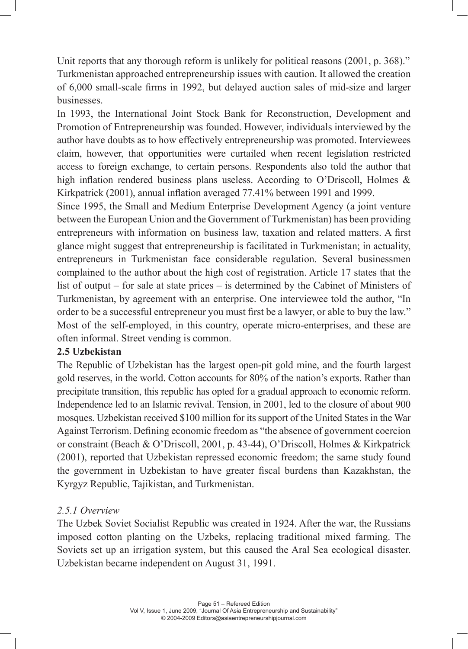Unit reports that any thorough reform is unlikely for political reasons (2001, p. 368)." Turkmenistan approached entrepreneurship issues with caution. It allowed the creation of 6,000 small-scale firms in 1992, but delayed auction sales of mid-size and larger businesses.

In 1993, the International Joint Stock Bank for Reconstruction, Development and Promotion of Entrepreneurship was founded. However, individuals interviewed by the author have doubts as to how effectively entrepreneurship was promoted. Interviewees claim, however, that opportunities were curtailed when recent legislation restricted access to foreign exchange, to certain persons. Respondents also told the author that high inflation rendered business plans useless. According to O'Driscoll, Holmes & Kirkpatrick (2001), annual inflation averaged 77.41% between 1991 and 1999.

Since 1995, the Small and Medium Enterprise Development Agency (a joint venture between the European Union and the Government of Turkmenistan) has been providing entrepreneurs with information on business law, taxation and related matters. A first glance might suggest that entrepreneurship is facilitated in Turkmenistan; in actuality, entrepreneurs in Turkmenistan face considerable regulation. Several businessmen complained to the author about the high cost of registration. Article 17 states that the list of output – for sale at state prices – is determined by the Cabinet of Ministers of Turkmenistan, by agreement with an enterprise. One interviewee told the author, "In order to be a successful entrepreneur you must first be a lawyer, or able to buy the law." Most of the self-employed, in this country, operate micro-enterprises, and these are often informal. Street vending is common.

#### **2.5 Uzbekistan**

The Republic of Uzbekistan has the largest open-pit gold mine, and the fourth largest gold reserves, in the world. Cotton accounts for 80% of the nation's exports. Rather than precipitate transition, this republic has opted for a gradual approach to economic reform. Independence led to an Islamic revival. Tension, in 2001, led to the closure of about 900 mosques. Uzbekistan received \$100 million for its support of the United States in the War Against Terrorism. Defining economic freedom as "the absence of government coercion or constraint (Beach & O'Driscoll, 2001, p. 43-44), O'Driscoll, Holmes & Kirkpatrick (2001), reported that Uzbekistan repressed economic freedom; the same study found the government in Uzbekistan to have greater fiscal burdens than Kazakhstan, the Kyrgyz Republic, Tajikistan, and Turkmenistan.

## *2.5.1 Overview*

The Uzbek Soviet Socialist Republic was created in 1924. After the war, the Russians imposed cotton planting on the Uzbeks, replacing traditional mixed farming. The Soviets set up an irrigation system, but this caused the Aral Sea ecological disaster. Uzbekistan became independent on August 31, 1991.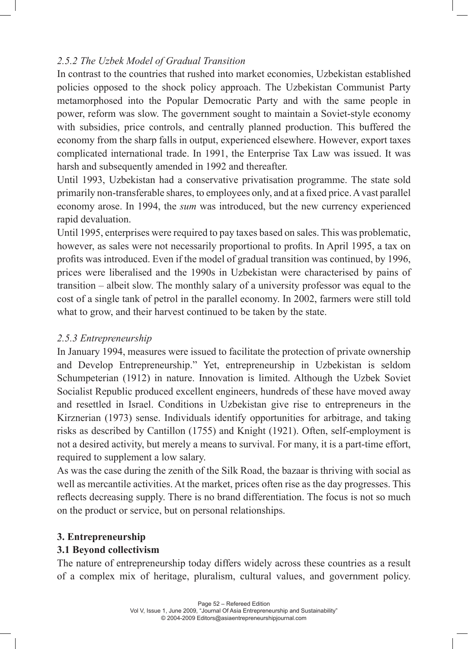## *2.5.2 The Uzbek Model of Gradual Transition*

In contrast to the countries that rushed into market economies, Uzbekistan established policies opposed to the shock policy approach. The Uzbekistan Communist Party metamorphosed into the Popular Democratic Party and with the same people in power, reform was slow. The government sought to maintain a Soviet-style economy with subsidies, price controls, and centrally planned production. This buffered the economy from the sharp falls in output, experienced elsewhere. However, export taxes complicated international trade. In 1991, the Enterprise Tax Law was issued. It was harsh and subsequently amended in 1992 and thereafter.

Until 1993, Uzbekistan had a conservative privatisation programme. The state sold primarily non-transferable shares, to employees only, and at a fixed price. A vast parallel economy arose. In 1994, the *sum* was introduced, but the new currency experienced rapid devaluation.

Until 1995, enterprises were required to pay taxes based on sales. This was problematic, however, as sales were not necessarily proportional to profits. In April 1995, a tax on profits was introduced. Even if the model of gradual transition was continued, by 1996, prices were liberalised and the 1990s in Uzbekistan were characterised by pains of transition – albeit slow. The monthly salary of a university professor was equal to the cost of a single tank of petrol in the parallel economy. In 2002, farmers were still told what to grow, and their harvest continued to be taken by the state.

## *2.5.3 Entrepreneurship*

In January 1994, measures were issued to facilitate the protection of private ownership and Develop Entrepreneurship." Yet, entrepreneurship in Uzbekistan is seldom Schumpeterian (1912) in nature. Innovation is limited. Although the Uzbek Soviet Socialist Republic produced excellent engineers, hundreds of these have moved away and resettled in Israel. Conditions in Uzbekistan give rise to entrepreneurs in the Kirznerian (1973) sense. Individuals identify opportunities for arbitrage, and taking risks as described by Cantillon (1755) and Knight (1921). Often, self-employment is not a desired activity, but merely a means to survival. For many, it is a part-time effort, required to supplement a low salary.

As was the case during the zenith of the Silk Road, the bazaar is thriving with social as well as mercantile activities. At the market, prices often rise as the day progresses. This reflects decreasing supply. There is no brand differentiation. The focus is not so much on the product or service, but on personal relationships.

## **3. Entrepreneurship**

## **3.1 Beyond collectivism**

The nature of entrepreneurship today differs widely across these countries as a result of a complex mix of heritage, pluralism, cultural values, and government policy.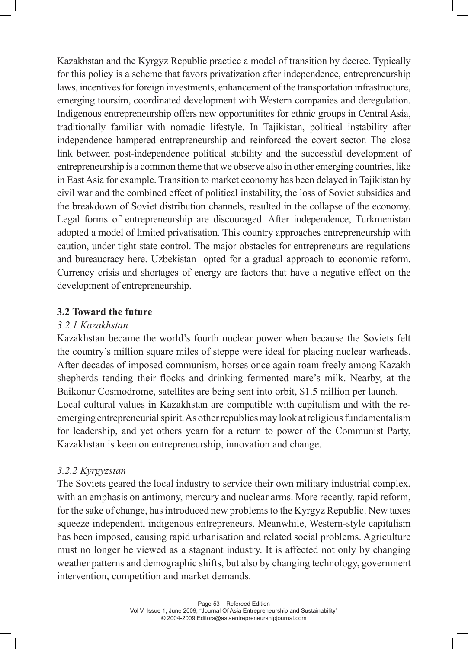Kazakhstan and the Kyrgyz Republic practice a model of transition by decree. Typically for this policy is a scheme that favors privatization after independence, entrepreneurship laws, incentives for foreign investments, enhancement of the transportation infrastructure, emerging toursim, coordinated development with Western companies and deregulation. Indigenous entrepreneurship offers new opportunitites for ethnic groups in Central Asia, traditionally familiar with nomadic lifestyle. In Tajikistan, political instability after independence hampered entrepreneurship and reinforced the covert sector. The close link between post-independence political stability and the successful development of entrepreneurship is a common theme that we observe also in other emerging countries, like in East Asia for example. Transition to market economy has been delayed in Tajikistan by civil war and the combined effect of political instability, the loss of Soviet subsidies and the breakdown of Soviet distribution channels, resulted in the collapse of the economy. Legal forms of entrepreneurship are discouraged. After independence, Turkmenistan adopted a model of limited privatisation. This country approaches entrepreneurship with caution, under tight state control. The major obstacles for entrepreneurs are regulations and bureaucracy here. Uzbekistan opted for a gradual approach to economic reform. Currency crisis and shortages of energy are factors that have a negative effect on the development of entrepreneurship.

#### **3.2 Toward the future**

#### *3.2.1 Kazakhstan*

Kazakhstan became the world's fourth nuclear power when because the Soviets felt the country's million square miles of steppe were ideal for placing nuclear warheads. After decades of imposed communism, horses once again roam freely among Kazakh shepherds tending their flocks and drinking fermented mare's milk. Nearby, at the Baikonur Cosmodrome, satellites are being sent into orbit, \$1.5 million per launch. Local cultural values in Kazakhstan are compatible with capitalism and with the reemerging entrepreneurial spirit. As other republics may look at religious fundamentalism for leadership, and yet others yearn for a return to power of the Communist Party, Kazakhstan is keen on entrepreneurship, innovation and change.

## *3.2.2 Kyrgyzstan*

The Soviets geared the local industry to service their own military industrial complex, with an emphasis on antimony, mercury and nuclear arms. More recently, rapid reform, for the sake of change, has introduced new problems to the Kyrgyz Republic. New taxes squeeze independent, indigenous entrepreneurs. Meanwhile, Western-style capitalism has been imposed, causing rapid urbanisation and related social problems. Agriculture must no longer be viewed as a stagnant industry. It is affected not only by changing weather patterns and demographic shifts, but also by changing technology, government intervention, competition and market demands.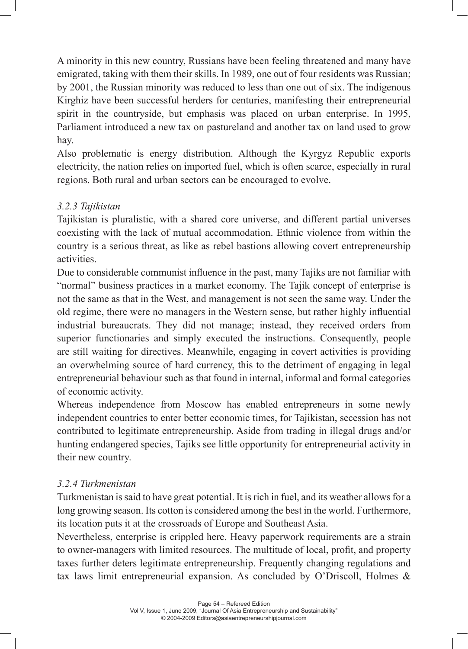A minority in this new country, Russians have been feeling threatened and many have emigrated, taking with them their skills. In 1989, one out of four residents was Russian; by 2001, the Russian minority was reduced to less than one out of six. The indigenous Kirghiz have been successful herders for centuries, manifesting their entrepreneurial spirit in the countryside, but emphasis was placed on urban enterprise. In 1995, Parliament introduced a new tax on pastureland and another tax on land used to grow hay.

Also problematic is energy distribution. Although the Kyrgyz Republic exports electricity, the nation relies on imported fuel, which is often scarce, especially in rural regions. Both rural and urban sectors can be encouraged to evolve.

## *3.2.3 Tajikistan*

Tajikistan is pluralistic, with a shared core universe, and different partial universes coexisting with the lack of mutual accommodation. Ethnic violence from within the country is a serious threat, as like as rebel bastions allowing covert entrepreneurship activities.

Due to considerable communist influence in the past, many Tajiks are not familiar with "normal" business practices in a market economy. The Tajik concept of enterprise is not the same as that in the West, and management is not seen the same way. Under the old regime, there were no managers in the Western sense, but rather highly influential industrial bureaucrats. They did not manage; instead, they received orders from superior functionaries and simply executed the instructions. Consequently, people are still waiting for directives. Meanwhile, engaging in covert activities is providing an overwhelming source of hard currency, this to the detriment of engaging in legal entrepreneurial behaviour such as that found in internal, informal and formal categories of economic activity.

Whereas independence from Moscow has enabled entrepreneurs in some newly independent countries to enter better economic times, for Tajikistan, secession has not contributed to legitimate entrepreneurship. Aside from trading in illegal drugs and/or hunting endangered species, Tajiks see little opportunity for entrepreneurial activity in their new country.

## *3.2.4 Turkmenistan*

Turkmenistan is said to have great potential. It is rich in fuel, and its weather allows for a long growing season. Its cotton is considered among the best in the world. Furthermore, its location puts it at the crossroads of Europe and Southeast Asia.

Nevertheless, enterprise is crippled here. Heavy paperwork requirements are a strain to owner-managers with limited resources. The multitude of local, profit, and property taxes further deters legitimate entrepreneurship. Frequently changing regulations and tax laws limit entrepreneurial expansion. As concluded by O'Driscoll, Holmes &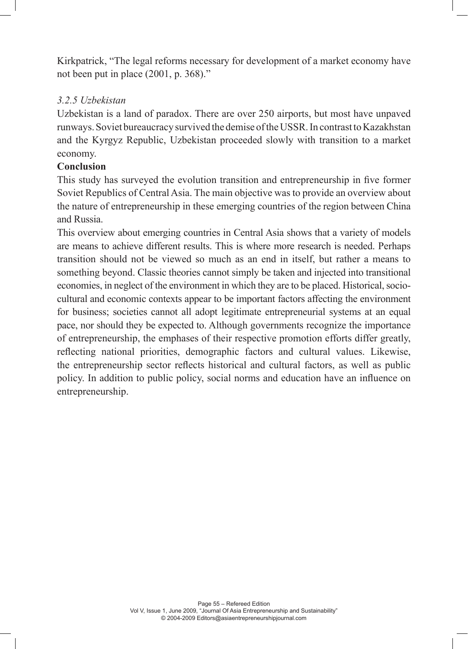Kirkpatrick, "The legal reforms necessary for development of a market economy have not been put in place (2001, p. 368)."

## *3.2.5 Uzbekistan*

Uzbekistan is a land of paradox. There are over 250 airports, but most have unpaved runways. Soviet bureaucracy survived the demise of the USSR. In contrast to Kazakhstan and the Kyrgyz Republic, Uzbekistan proceeded slowly with transition to a market economy.

## **Conclusion**

This study has surveyed the evolution transition and entrepreneurship in five former Soviet Republics of Central Asia. The main objective was to provide an overview about the nature of entrepreneurship in these emerging countries of the region between China and Russia.

This overview about emerging countries in Central Asia shows that a variety of models are means to achieve different results. This is where more research is needed. Perhaps transition should not be viewed so much as an end in itself, but rather a means to something beyond. Classic theories cannot simply be taken and injected into transitional economies, in neglect of the environment in which they are to be placed. Historical, sociocultural and economic contexts appear to be important factors affecting the environment for business; societies cannot all adopt legitimate entrepreneurial systems at an equal pace, nor should they be expected to. Although governments recognize the importance of entrepreneurship, the emphases of their respective promotion efforts differ greatly, reflecting national priorities, demographic factors and cultural values. Likewise, the entrepreneurship sector reflects historical and cultural factors, as well as public policy. In addition to public policy, social norms and education have an influence on entrepreneurship.